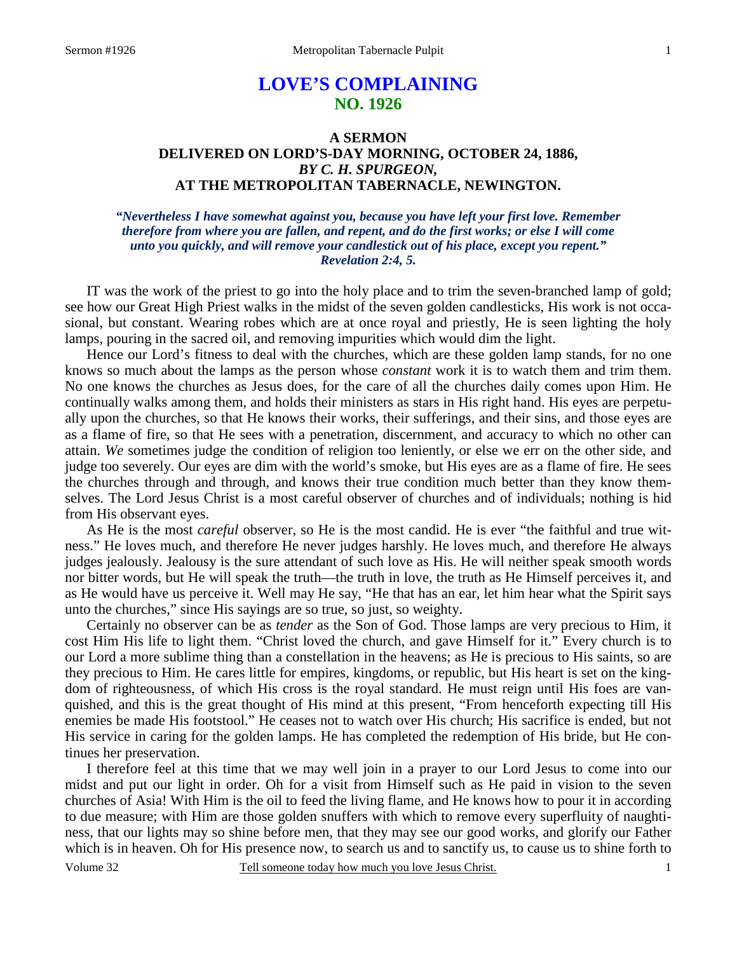# **LOVE'S COMPLAINING NO. 1926**

# **A SERMON DELIVERED ON LORD'S-DAY MORNING, OCTOBER 24, 1886,**  *BY C. H. SPURGEON,*  **AT THE METROPOLITAN TABERNACLE, NEWINGTON.**

### *"Nevertheless I have somewhat against you, because you have left your first love. Remember therefore from where you are fallen, and repent, and do the first works; or else I will come unto you quickly, and will remove your candlestick out of his place, except you repent." Revelation 2:4, 5.*

IT was the work of the priest to go into the holy place and to trim the seven-branched lamp of gold; see how our Great High Priest walks in the midst of the seven golden candlesticks, His work is not occasional, but constant. Wearing robes which are at once royal and priestly, He is seen lighting the holy lamps, pouring in the sacred oil, and removing impurities which would dim the light.

 Hence our Lord's fitness to deal with the churches, which are these golden lamp stands, for no one knows so much about the lamps as the person whose *constant* work it is to watch them and trim them. No one knows the churches as Jesus does, for the care of all the churches daily comes upon Him. He continually walks among them, and holds their ministers as stars in His right hand. His eyes are perpetually upon the churches, so that He knows their works, their sufferings, and their sins, and those eyes are as a flame of fire, so that He sees with a penetration, discernment, and accuracy to which no other can attain. *We* sometimes judge the condition of religion too leniently, or else we err on the other side, and judge too severely. Our eyes are dim with the world's smoke, but His eyes are as a flame of fire. He sees the churches through and through, and knows their true condition much better than they know themselves. The Lord Jesus Christ is a most careful observer of churches and of individuals; nothing is hid from His observant eyes.

 As He is the most *careful* observer, so He is the most candid. He is ever "the faithful and true witness." He loves much, and therefore He never judges harshly. He loves much, and therefore He always judges jealously. Jealousy is the sure attendant of such love as His. He will neither speak smooth words nor bitter words, but He will speak the truth—the truth in love, the truth as He Himself perceives it, and as He would have us perceive it. Well may He say, "He that has an ear, let him hear what the Spirit says unto the churches," since His sayings are so true, so just, so weighty.

 Certainly no observer can be as *tender* as the Son of God. Those lamps are very precious to Him, it cost Him His life to light them. "Christ loved the church, and gave Himself for it." Every church is to our Lord a more sublime thing than a constellation in the heavens; as He is precious to His saints, so are they precious to Him. He cares little for empires, kingdoms, or republic, but His heart is set on the kingdom of righteousness, of which His cross is the royal standard. He must reign until His foes are vanquished, and this is the great thought of His mind at this present, "From henceforth expecting till His enemies be made His footstool." He ceases not to watch over His church; His sacrifice is ended, but not His service in caring for the golden lamps. He has completed the redemption of His bride, but He continues her preservation.

 I therefore feel at this time that we may well join in a prayer to our Lord Jesus to come into our midst and put our light in order. Oh for a visit from Himself such as He paid in vision to the seven churches of Asia! With Him is the oil to feed the living flame, and He knows how to pour it in according to due measure; with Him are those golden snuffers with which to remove every superfluity of naughtiness, that our lights may so shine before men, that they may see our good works, and glorify our Father which is in heaven. Oh for His presence now, to search us and to sanctify us, to cause us to shine forth to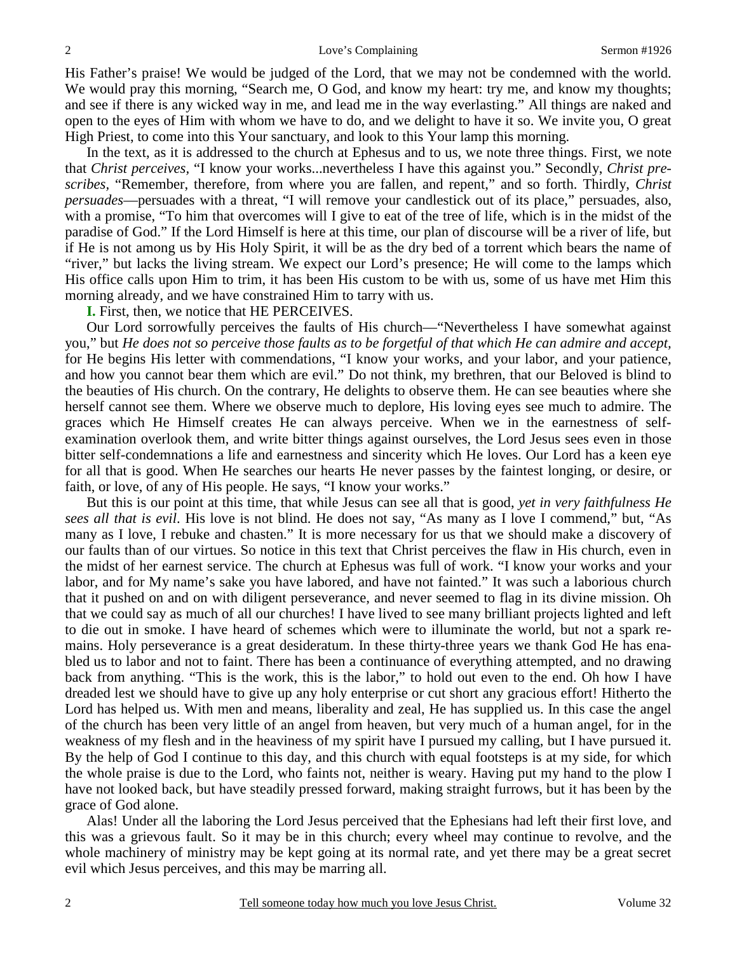His Father's praise! We would be judged of the Lord, that we may not be condemned with the world. We would pray this morning, "Search me, O God, and know my heart: try me, and know my thoughts; and see if there is any wicked way in me, and lead me in the way everlasting." All things are naked and open to the eyes of Him with whom we have to do, and we delight to have it so. We invite you, O great High Priest, to come into this Your sanctuary, and look to this Your lamp this morning.

 In the text, as it is addressed to the church at Ephesus and to us, we note three things. First, we note that *Christ perceives,* "I know your works...nevertheless I have this against you." Secondly, *Christ prescribes,* "Remember, therefore, from where you are fallen, and repent," and so forth. Thirdly, *Christ persuades*—persuades with a threat, "I will remove your candlestick out of its place," persuades, also, with a promise, "To him that overcomes will I give to eat of the tree of life, which is in the midst of the paradise of God." If the Lord Himself is here at this time, our plan of discourse will be a river of life, but if He is not among us by His Holy Spirit, it will be as the dry bed of a torrent which bears the name of "river," but lacks the living stream. We expect our Lord's presence; He will come to the lamps which His office calls upon Him to trim, it has been His custom to be with us, some of us have met Him this morning already, and we have constrained Him to tarry with us.

**I.** First, then, we notice that HE PERCEIVES.

 Our Lord sorrowfully perceives the faults of His church—"Nevertheless I have somewhat against you," but *He does not so perceive those faults as to be forgetful of that which He can admire and accept,* for He begins His letter with commendations, "I know your works, and your labor, and your patience, and how you cannot bear them which are evil." Do not think, my brethren, that our Beloved is blind to the beauties of His church. On the contrary, He delights to observe them. He can see beauties where she herself cannot see them. Where we observe much to deplore, His loving eyes see much to admire. The graces which He Himself creates He can always perceive. When we in the earnestness of selfexamination overlook them, and write bitter things against ourselves, the Lord Jesus sees even in those bitter self-condemnations a life and earnestness and sincerity which He loves. Our Lord has a keen eye for all that is good. When He searches our hearts He never passes by the faintest longing, or desire, or faith, or love, of any of His people. He says, "I know your works."

 But this is our point at this time, that while Jesus can see all that is good, *yet in very faithfulness He sees all that is evil*. His love is not blind. He does not say, "As many as I love I commend," but, "As many as I love, I rebuke and chasten." It is more necessary for us that we should make a discovery of our faults than of our virtues. So notice in this text that Christ perceives the flaw in His church, even in the midst of her earnest service. The church at Ephesus was full of work. "I know your works and your labor, and for My name's sake you have labored, and have not fainted." It was such a laborious church that it pushed on and on with diligent perseverance, and never seemed to flag in its divine mission. Oh that we could say as much of all our churches! I have lived to see many brilliant projects lighted and left to die out in smoke. I have heard of schemes which were to illuminate the world, but not a spark remains. Holy perseverance is a great desideratum. In these thirty-three years we thank God He has enabled us to labor and not to faint. There has been a continuance of everything attempted, and no drawing back from anything. "This is the work, this is the labor," to hold out even to the end. Oh how I have dreaded lest we should have to give up any holy enterprise or cut short any gracious effort! Hitherto the Lord has helped us. With men and means, liberality and zeal, He has supplied us. In this case the angel of the church has been very little of an angel from heaven, but very much of a human angel, for in the weakness of my flesh and in the heaviness of my spirit have I pursued my calling, but I have pursued it. By the help of God I continue to this day, and this church with equal footsteps is at my side, for which the whole praise is due to the Lord, who faints not, neither is weary. Having put my hand to the plow I have not looked back, but have steadily pressed forward, making straight furrows, but it has been by the grace of God alone.

 Alas! Under all the laboring the Lord Jesus perceived that the Ephesians had left their first love, and this was a grievous fault. So it may be in this church; every wheel may continue to revolve, and the whole machinery of ministry may be kept going at its normal rate, and yet there may be a great secret evil which Jesus perceives, and this may be marring all.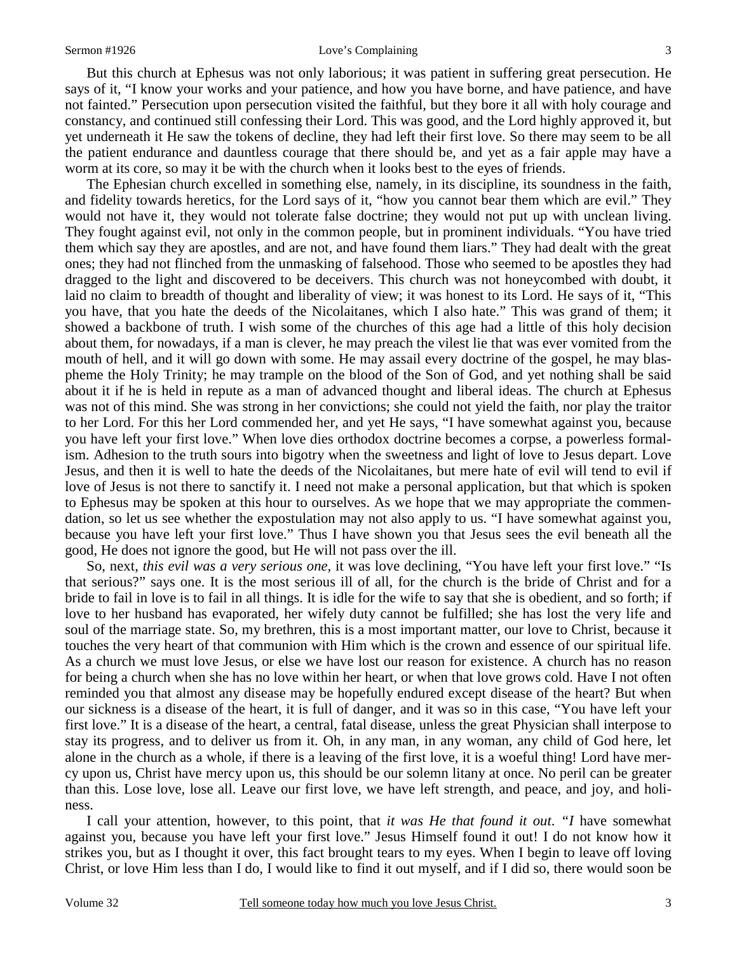#### Sermon #1926 **Sermon #1926** Love's Complaining 3

 But this church at Ephesus was not only laborious; it was patient in suffering great persecution. He says of it, "I know your works and your patience, and how you have borne, and have patience, and have not fainted." Persecution upon persecution visited the faithful, but they bore it all with holy courage and constancy, and continued still confessing their Lord. This was good, and the Lord highly approved it, but yet underneath it He saw the tokens of decline, they had left their first love. So there may seem to be all the patient endurance and dauntless courage that there should be, and yet as a fair apple may have a worm at its core, so may it be with the church when it looks best to the eyes of friends.

 The Ephesian church excelled in something else, namely, in its discipline, its soundness in the faith, and fidelity towards heretics, for the Lord says of it, "how you cannot bear them which are evil." They would not have it, they would not tolerate false doctrine; they would not put up with unclean living. They fought against evil, not only in the common people, but in prominent individuals. "You have tried them which say they are apostles, and are not, and have found them liars." They had dealt with the great ones; they had not flinched from the unmasking of falsehood. Those who seemed to be apostles they had dragged to the light and discovered to be deceivers. This church was not honeycombed with doubt, it laid no claim to breadth of thought and liberality of view; it was honest to its Lord. He says of it, "This you have, that you hate the deeds of the Nicolaitanes, which I also hate." This was grand of them; it showed a backbone of truth. I wish some of the churches of this age had a little of this holy decision about them, for nowadays, if a man is clever, he may preach the vilest lie that was ever vomited from the mouth of hell, and it will go down with some. He may assail every doctrine of the gospel, he may blaspheme the Holy Trinity; he may trample on the blood of the Son of God, and yet nothing shall be said about it if he is held in repute as a man of advanced thought and liberal ideas. The church at Ephesus was not of this mind. She was strong in her convictions; she could not yield the faith, nor play the traitor to her Lord. For this her Lord commended her, and yet He says, "I have somewhat against you, because you have left your first love." When love dies orthodox doctrine becomes a corpse, a powerless formalism. Adhesion to the truth sours into bigotry when the sweetness and light of love to Jesus depart. Love Jesus, and then it is well to hate the deeds of the Nicolaitanes, but mere hate of evil will tend to evil if love of Jesus is not there to sanctify it. I need not make a personal application, but that which is spoken to Ephesus may be spoken at this hour to ourselves. As we hope that we may appropriate the commendation, so let us see whether the expostulation may not also apply to us. "I have somewhat against you, because you have left your first love." Thus I have shown you that Jesus sees the evil beneath all the good, He does not ignore the good, but He will not pass over the ill.

 So, next, *this evil was a very serious one,* it was love declining, "You have left your first love." "Is that serious?" says one. It is the most serious ill of all, for the church is the bride of Christ and for a bride to fail in love is to fail in all things. It is idle for the wife to say that she is obedient, and so forth; if love to her husband has evaporated, her wifely duty cannot be fulfilled; she has lost the very life and soul of the marriage state. So, my brethren, this is a most important matter, our love to Christ, because it touches the very heart of that communion with Him which is the crown and essence of our spiritual life. As a church we must love Jesus, or else we have lost our reason for existence. A church has no reason for being a church when she has no love within her heart, or when that love grows cold. Have I not often reminded you that almost any disease may be hopefully endured except disease of the heart? But when our sickness is a disease of the heart, it is full of danger, and it was so in this case, "You have left your first love." It is a disease of the heart, a central, fatal disease, unless the great Physician shall interpose to stay its progress, and to deliver us from it. Oh, in any man, in any woman, any child of God here, let alone in the church as a whole, if there is a leaving of the first love, it is a woeful thing! Lord have mercy upon us, Christ have mercy upon us, this should be our solemn litany at once. No peril can be greater than this. Lose love, lose all. Leave our first love, we have left strength, and peace, and joy, and holiness.

 I call your attention, however, to this point, that *it was He that found it out*. *"I* have somewhat against you, because you have left your first love." Jesus Himself found it out! I do not know how it strikes you, but as I thought it over, this fact brought tears to my eyes. When I begin to leave off loving Christ, or love Him less than I do, I would like to find it out myself, and if I did so, there would soon be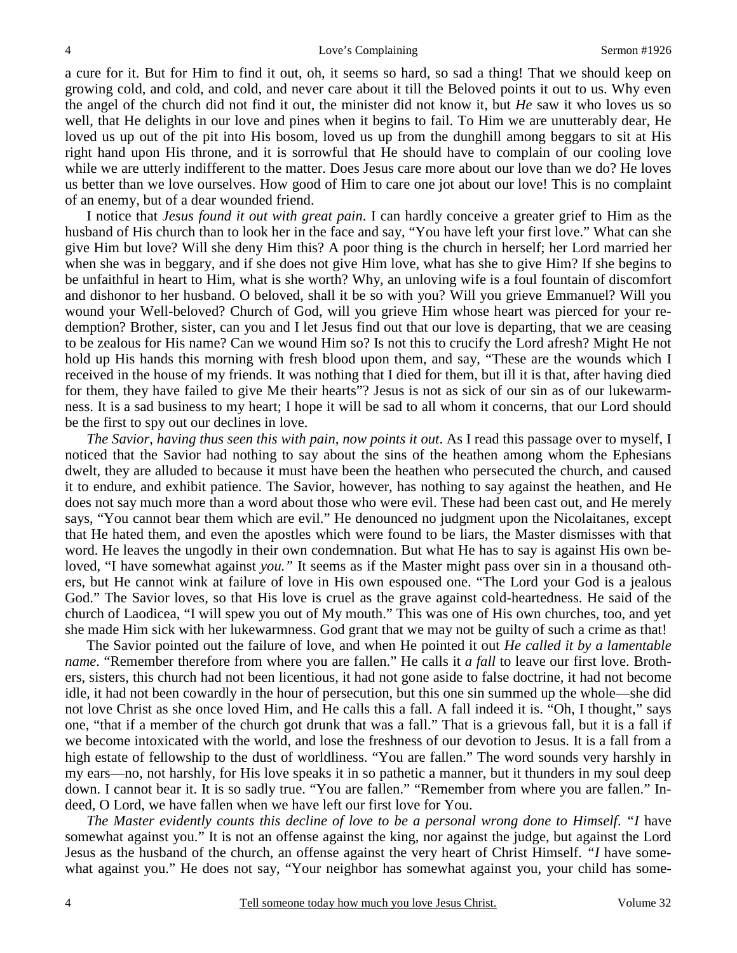a cure for it. But for Him to find it out, oh, it seems so hard, so sad a thing! That we should keep on growing cold, and cold, and cold, and never care about it till the Beloved points it out to us. Why even the angel of the church did not find it out, the minister did not know it, but *He* saw it who loves us so well, that He delights in our love and pines when it begins to fail. To Him we are unutterably dear, He loved us up out of the pit into His bosom, loved us up from the dunghill among beggars to sit at His right hand upon His throne, and it is sorrowful that He should have to complain of our cooling love while we are utterly indifferent to the matter. Does Jesus care more about our love than we do? He loves us better than we love ourselves. How good of Him to care one jot about our love! This is no complaint of an enemy, but of a dear wounded friend.

 I notice that *Jesus found it out with great pain*. I can hardly conceive a greater grief to Him as the husband of His church than to look her in the face and say, "You have left your first love." What can she give Him but love? Will she deny Him this? A poor thing is the church in herself; her Lord married her when she was in beggary, and if she does not give Him love, what has she to give Him? If she begins to be unfaithful in heart to Him, what is she worth? Why, an unloving wife is a foul fountain of discomfort and dishonor to her husband. O beloved, shall it be so with you? Will you grieve Emmanuel? Will you wound your Well-beloved? Church of God, will you grieve Him whose heart was pierced for your redemption? Brother, sister, can you and I let Jesus find out that our love is departing, that we are ceasing to be zealous for His name? Can we wound Him so? Is not this to crucify the Lord afresh? Might He not hold up His hands this morning with fresh blood upon them, and say, "These are the wounds which I received in the house of my friends. It was nothing that I died for them, but ill it is that, after having died for them, they have failed to give Me their hearts"? Jesus is not as sick of our sin as of our lukewarmness. It is a sad business to my heart; I hope it will be sad to all whom it concerns, that our Lord should be the first to spy out our declines in love.

*The Savior, having thus seen this with pain, now points it out*. As I read this passage over to myself, I noticed that the Savior had nothing to say about the sins of the heathen among whom the Ephesians dwelt, they are alluded to because it must have been the heathen who persecuted the church, and caused it to endure, and exhibit patience. The Savior, however, has nothing to say against the heathen, and He does not say much more than a word about those who were evil. These had been cast out, and He merely says, "You cannot bear them which are evil." He denounced no judgment upon the Nicolaitanes, except that He hated them, and even the apostles which were found to be liars, the Master dismisses with that word. He leaves the ungodly in their own condemnation. But what He has to say is against His own beloved, "I have somewhat against *you."* It seems as if the Master might pass over sin in a thousand others, but He cannot wink at failure of love in His own espoused one. "The Lord your God is a jealous God." The Savior loves, so that His love is cruel as the grave against cold-heartedness. He said of the church of Laodicea, "I will spew you out of My mouth." This was one of His own churches, too, and yet she made Him sick with her lukewarmness. God grant that we may not be guilty of such a crime as that!

 The Savior pointed out the failure of love, and when He pointed it out *He called it by a lamentable name*. "Remember therefore from where you are fallen." He calls it *a fall* to leave our first love. Brothers, sisters, this church had not been licentious, it had not gone aside to false doctrine, it had not become idle, it had not been cowardly in the hour of persecution, but this one sin summed up the whole—she did not love Christ as she once loved Him, and He calls this a fall. A fall indeed it is. "Oh, I thought," says one, "that if a member of the church got drunk that was a fall." That is a grievous fall, but it is a fall if we become intoxicated with the world, and lose the freshness of our devotion to Jesus. It is a fall from a high estate of fellowship to the dust of worldliness. "You are fallen." The word sounds very harshly in my ears—no, not harshly, for His love speaks it in so pathetic a manner, but it thunders in my soul deep down. I cannot bear it. It is so sadly true. "You are fallen." "Remember from where you are fallen." Indeed, O Lord, we have fallen when we have left our first love for You.

*The Master evidently counts this decline of love to be a personal wrong done to Himself*. *"I* have somewhat against you." It is not an offense against the king, nor against the judge, but against the Lord Jesus as the husband of the church, an offense against the very heart of Christ Himself. *"I* have somewhat against you." He does not say, "Your neighbor has somewhat against you, your child has some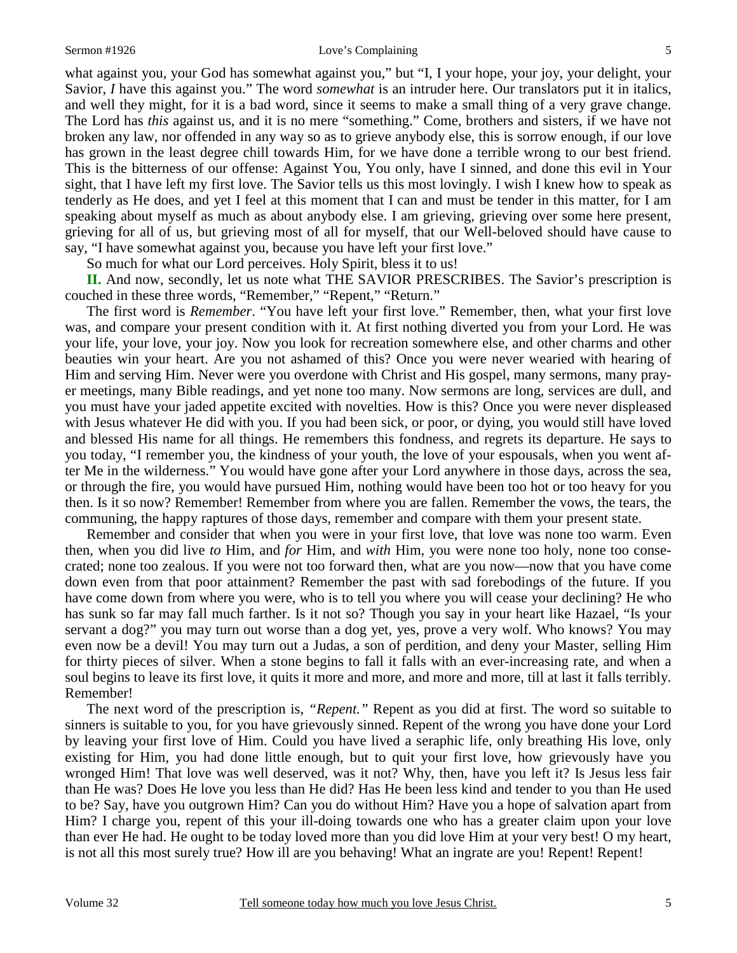what against you, your God has somewhat against you," but "I, I your hope, your joy, your delight, your Savior, *I* have this against you." The word *somewhat* is an intruder here. Our translators put it in italics, and well they might, for it is a bad word, since it seems to make a small thing of a very grave change. The Lord has *this* against us, and it is no mere "something." Come, brothers and sisters, if we have not broken any law, nor offended in any way so as to grieve anybody else, this is sorrow enough, if our love has grown in the least degree chill towards Him, for we have done a terrible wrong to our best friend. This is the bitterness of our offense: Against You, You only, have I sinned, and done this evil in Your sight, that I have left my first love. The Savior tells us this most lovingly. I wish I knew how to speak as tenderly as He does, and yet I feel at this moment that I can and must be tender in this matter, for I am speaking about myself as much as about anybody else. I am grieving, grieving over some here present, grieving for all of us, but grieving most of all for myself, that our Well-beloved should have cause to say, "I have somewhat against you, because you have left your first love."

So much for what our Lord perceives. Holy Spirit, bless it to us!

**II.** And now, secondly, let us note what THE SAVIOR PRESCRIBES. The Savior's prescription is couched in these three words, "Remember," "Repent," "Return."

 The first word is *Remember*. "You have left your first love." Remember, then, what your first love was, and compare your present condition with it. At first nothing diverted you from your Lord. He was your life, your love, your joy. Now you look for recreation somewhere else, and other charms and other beauties win your heart. Are you not ashamed of this? Once you were never wearied with hearing of Him and serving Him. Never were you overdone with Christ and His gospel, many sermons, many prayer meetings, many Bible readings, and yet none too many. Now sermons are long, services are dull, and you must have your jaded appetite excited with novelties. How is this? Once you were never displeased with Jesus whatever He did with you. If you had been sick, or poor, or dying, you would still have loved and blessed His name for all things. He remembers this fondness, and regrets its departure. He says to you today, "I remember you, the kindness of your youth, the love of your espousals, when you went after Me in the wilderness." You would have gone after your Lord anywhere in those days, across the sea, or through the fire, you would have pursued Him, nothing would have been too hot or too heavy for you then. Is it so now? Remember! Remember from where you are fallen. Remember the vows, the tears, the communing, the happy raptures of those days, remember and compare with them your present state.

 Remember and consider that when you were in your first love, that love was none too warm. Even then, when you did live *to* Him, and *for* Him, and *with* Him, you were none too holy, none too consecrated; none too zealous. If you were not too forward then, what are you now—now that you have come down even from that poor attainment? Remember the past with sad forebodings of the future. If you have come down from where you were, who is to tell you where you will cease your declining? He who has sunk so far may fall much farther. Is it not so? Though you say in your heart like Hazael, "Is your servant a dog?" you may turn out worse than a dog yet, yes, prove a very wolf. Who knows? You may even now be a devil! You may turn out a Judas, a son of perdition, and deny your Master, selling Him for thirty pieces of silver. When a stone begins to fall it falls with an ever-increasing rate, and when a soul begins to leave its first love, it quits it more and more, and more and more, till at last it falls terribly. Remember!

 The next word of the prescription is, *"Repent."* Repent as you did at first. The word so suitable to sinners is suitable to you, for you have grievously sinned. Repent of the wrong you have done your Lord by leaving your first love of Him. Could you have lived a seraphic life, only breathing His love, only existing for Him, you had done little enough, but to quit your first love, how grievously have you wronged Him! That love was well deserved, was it not? Why, then, have you left it? Is Jesus less fair than He was? Does He love you less than He did? Has He been less kind and tender to you than He used to be? Say, have you outgrown Him? Can you do without Him? Have you a hope of salvation apart from Him? I charge you, repent of this your ill-doing towards one who has a greater claim upon your love than ever He had. He ought to be today loved more than you did love Him at your very best! O my heart, is not all this most surely true? How ill are you behaving! What an ingrate are you! Repent! Repent!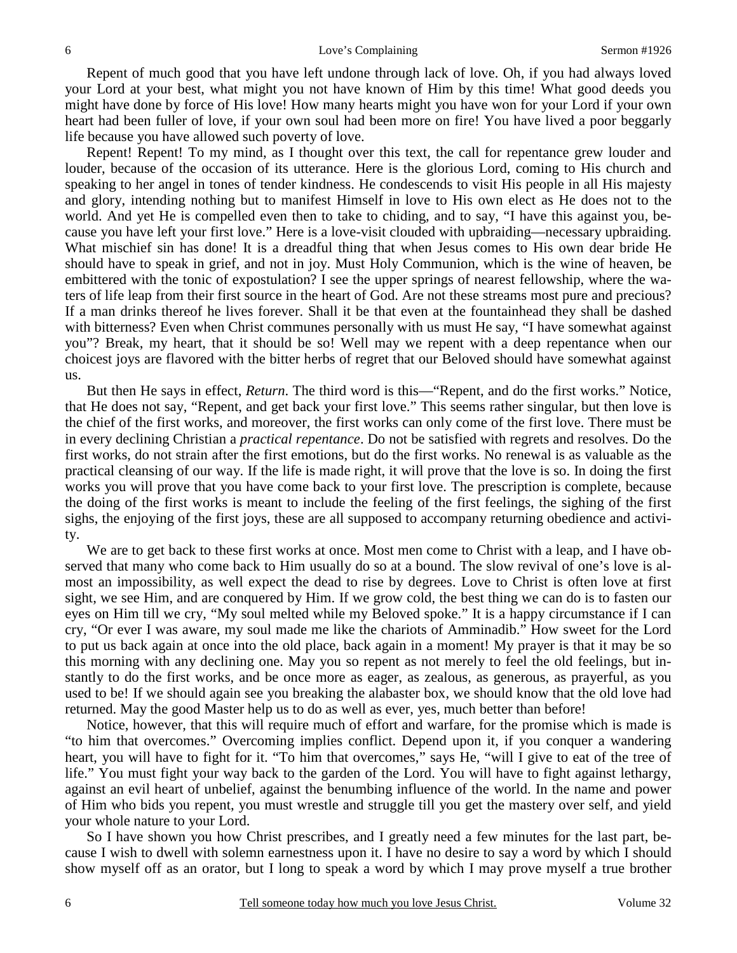Repent of much good that you have left undone through lack of love. Oh, if you had always loved your Lord at your best, what might you not have known of Him by this time! What good deeds you might have done by force of His love! How many hearts might you have won for your Lord if your own heart had been fuller of love, if your own soul had been more on fire! You have lived a poor beggarly life because you have allowed such poverty of love.

 Repent! Repent! To my mind, as I thought over this text, the call for repentance grew louder and louder, because of the occasion of its utterance. Here is the glorious Lord, coming to His church and speaking to her angel in tones of tender kindness. He condescends to visit His people in all His majesty and glory, intending nothing but to manifest Himself in love to His own elect as He does not to the world. And yet He is compelled even then to take to chiding, and to say, "I have this against you, because you have left your first love." Here is a love-visit clouded with upbraiding—necessary upbraiding. What mischief sin has done! It is a dreadful thing that when Jesus comes to His own dear bride He should have to speak in grief, and not in joy. Must Holy Communion, which is the wine of heaven, be embittered with the tonic of expostulation? I see the upper springs of nearest fellowship, where the waters of life leap from their first source in the heart of God. Are not these streams most pure and precious? If a man drinks thereof he lives forever. Shall it be that even at the fountainhead they shall be dashed with bitterness? Even when Christ communes personally with us must He say, "I have somewhat against you"? Break, my heart, that it should be so! Well may we repent with a deep repentance when our choicest joys are flavored with the bitter herbs of regret that our Beloved should have somewhat against us.

 But then He says in effect, *Return*. The third word is this—"Repent, and do the first works." Notice, that He does not say, "Repent, and get back your first love." This seems rather singular, but then love is the chief of the first works, and moreover, the first works can only come of the first love. There must be in every declining Christian a *practical repentance*. Do not be satisfied with regrets and resolves. Do the first works, do not strain after the first emotions, but do the first works. No renewal is as valuable as the practical cleansing of our way. If the life is made right, it will prove that the love is so. In doing the first works you will prove that you have come back to your first love. The prescription is complete, because the doing of the first works is meant to include the feeling of the first feelings, the sighing of the first sighs, the enjoying of the first joys, these are all supposed to accompany returning obedience and activity.

We are to get back to these first works at once. Most men come to Christ with a leap, and I have observed that many who come back to Him usually do so at a bound. The slow revival of one's love is almost an impossibility, as well expect the dead to rise by degrees. Love to Christ is often love at first sight, we see Him, and are conquered by Him. If we grow cold, the best thing we can do is to fasten our eyes on Him till we cry, "My soul melted while my Beloved spoke." It is a happy circumstance if I can cry, "Or ever I was aware, my soul made me like the chariots of Amminadib." How sweet for the Lord to put us back again at once into the old place, back again in a moment! My prayer is that it may be so this morning with any declining one. May you so repent as not merely to feel the old feelings, but instantly to do the first works, and be once more as eager, as zealous, as generous, as prayerful, as you used to be! If we should again see you breaking the alabaster box, we should know that the old love had returned. May the good Master help us to do as well as ever, yes, much better than before!

 Notice, however, that this will require much of effort and warfare, for the promise which is made is "to him that overcomes." Overcoming implies conflict. Depend upon it, if you conquer a wandering heart, you will have to fight for it. "To him that overcomes," says He, "will I give to eat of the tree of life." You must fight your way back to the garden of the Lord. You will have to fight against lethargy, against an evil heart of unbelief, against the benumbing influence of the world. In the name and power of Him who bids you repent, you must wrestle and struggle till you get the mastery over self, and yield your whole nature to your Lord.

 So I have shown you how Christ prescribes, and I greatly need a few minutes for the last part, because I wish to dwell with solemn earnestness upon it. I have no desire to say a word by which I should show myself off as an orator, but I long to speak a word by which I may prove myself a true brother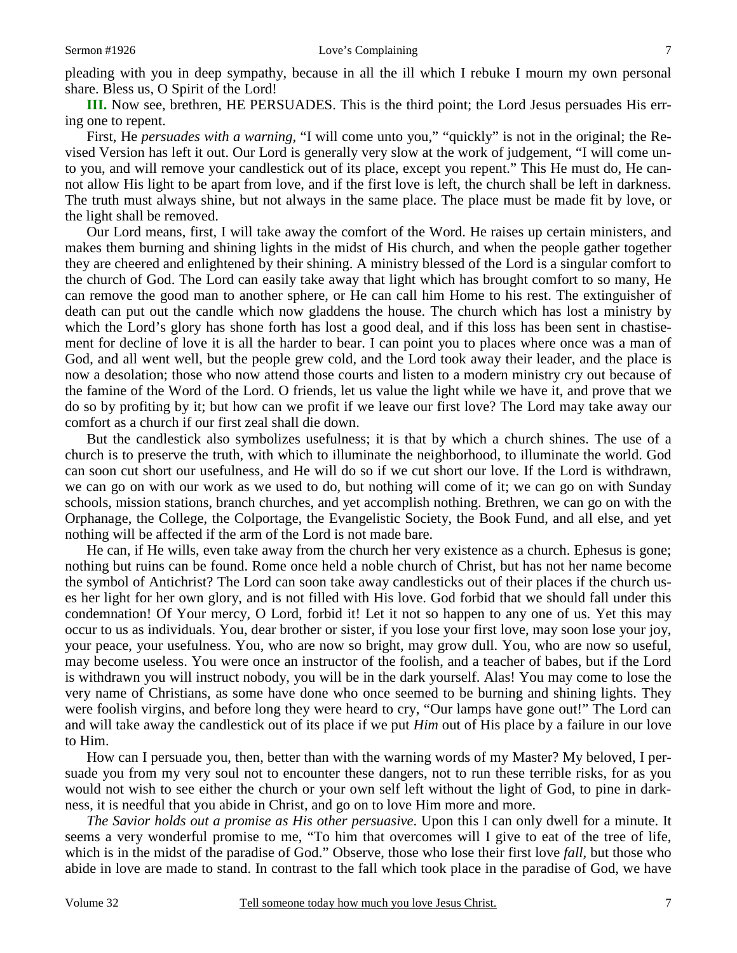pleading with you in deep sympathy, because in all the ill which I rebuke I mourn my own personal share. Bless us, O Spirit of the Lord!

**III.** Now see, brethren, HE PERSUADES. This is the third point; the Lord Jesus persuades His erring one to repent.

 First, He *persuades with a warning,* "I will come unto you," "quickly" is not in the original; the Revised Version has left it out. Our Lord is generally very slow at the work of judgement, "I will come unto you, and will remove your candlestick out of its place, except you repent." This He must do, He cannot allow His light to be apart from love, and if the first love is left, the church shall be left in darkness. The truth must always shine, but not always in the same place. The place must be made fit by love, or the light shall be removed.

 Our Lord means, first, I will take away the comfort of the Word. He raises up certain ministers, and makes them burning and shining lights in the midst of His church, and when the people gather together they are cheered and enlightened by their shining. A ministry blessed of the Lord is a singular comfort to the church of God. The Lord can easily take away that light which has brought comfort to so many, He can remove the good man to another sphere, or He can call him Home to his rest. The extinguisher of death can put out the candle which now gladdens the house. The church which has lost a ministry by which the Lord's glory has shone forth has lost a good deal, and if this loss has been sent in chastisement for decline of love it is all the harder to bear. I can point you to places where once was a man of God, and all went well, but the people grew cold, and the Lord took away their leader, and the place is now a desolation; those who now attend those courts and listen to a modern ministry cry out because of the famine of the Word of the Lord. O friends, let us value the light while we have it, and prove that we do so by profiting by it; but how can we profit if we leave our first love? The Lord may take away our comfort as a church if our first zeal shall die down.

 But the candlestick also symbolizes usefulness; it is that by which a church shines. The use of a church is to preserve the truth, with which to illuminate the neighborhood, to illuminate the world. God can soon cut short our usefulness, and He will do so if we cut short our love. If the Lord is withdrawn, we can go on with our work as we used to do, but nothing will come of it; we can go on with Sunday schools, mission stations, branch churches, and yet accomplish nothing. Brethren, we can go on with the Orphanage, the College, the Colportage, the Evangelistic Society, the Book Fund, and all else, and yet nothing will be affected if the arm of the Lord is not made bare.

 He can, if He wills, even take away from the church her very existence as a church. Ephesus is gone; nothing but ruins can be found. Rome once held a noble church of Christ, but has not her name become the symbol of Antichrist? The Lord can soon take away candlesticks out of their places if the church uses her light for her own glory, and is not filled with His love. God forbid that we should fall under this condemnation! Of Your mercy, O Lord, forbid it! Let it not so happen to any one of us. Yet this may occur to us as individuals. You, dear brother or sister, if you lose your first love, may soon lose your joy, your peace, your usefulness. You, who are now so bright, may grow dull. You, who are now so useful, may become useless. You were once an instructor of the foolish, and a teacher of babes, but if the Lord is withdrawn you will instruct nobody, you will be in the dark yourself. Alas! You may come to lose the very name of Christians, as some have done who once seemed to be burning and shining lights. They were foolish virgins, and before long they were heard to cry, "Our lamps have gone out!" The Lord can and will take away the candlestick out of its place if we put *Him* out of His place by a failure in our love to Him.

 How can I persuade you, then, better than with the warning words of my Master? My beloved, I persuade you from my very soul not to encounter these dangers, not to run these terrible risks, for as you would not wish to see either the church or your own self left without the light of God, to pine in darkness, it is needful that you abide in Christ, and go on to love Him more and more.

*The Savior holds out a promise as His other persuasive*. Upon this I can only dwell for a minute. It seems a very wonderful promise to me, "To him that overcomes will I give to eat of the tree of life, which is in the midst of the paradise of God." Observe, those who lose their first love *fall,* but those who abide in love are made to stand. In contrast to the fall which took place in the paradise of God, we have